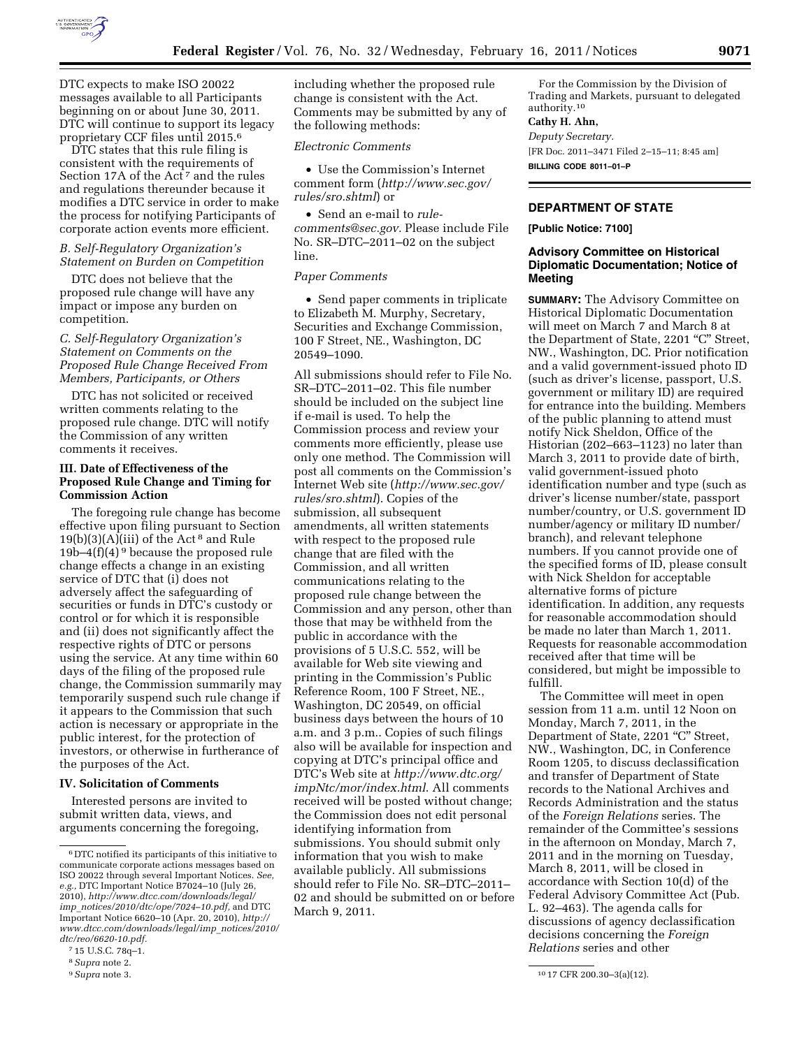

DTC expects to make ISO 20022 messages available to all Participants beginning on or about June 30, 2011. DTC will continue to support its legacy proprietary CCF files until 2015.6

DTC states that this rule filing is consistent with the requirements of Section 17A of the Act<sup>7</sup> and the rules and regulations thereunder because it modifies a DTC service in order to make the process for notifying Participants of corporate action events more efficient.

#### *B. Self-Regulatory Organization's Statement on Burden on Competition*

DTC does not believe that the proposed rule change will have any impact or impose any burden on competition.

*C. Self-Regulatory Organization's Statement on Comments on the Proposed Rule Change Received From Members, Participants, or Others* 

DTC has not solicited or received written comments relating to the proposed rule change. DTC will notify the Commission of any written comments it receives.

# **III. Date of Effectiveness of the Proposed Rule Change and Timing for Commission Action**

The foregoing rule change has become effective upon filing pursuant to Section  $19(b)(3)(A)(iii)$  of the Act<sup>8</sup> and Rule 19b–4(f)(4) 9 because the proposed rule change effects a change in an existing service of DTC that (i) does not adversely affect the safeguarding of securities or funds in DTC's custody or control or for which it is responsible and (ii) does not significantly affect the respective rights of DTC or persons using the service. At any time within 60 days of the filing of the proposed rule change, the Commission summarily may temporarily suspend such rule change if it appears to the Commission that such action is necessary or appropriate in the public interest, for the protection of investors, or otherwise in furtherance of the purposes of the Act.

# **IV. Solicitation of Comments**

Interested persons are invited to submit written data, views, and arguments concerning the foregoing, including whether the proposed rule change is consistent with the Act. Comments may be submitted by any of the following methods:

#### *Electronic Comments*

• Use the Commission's Internet comment form (*[http://www.sec.gov/](http://www.sec.gov/rules/sro.shtml)  [rules/sro.shtml](http://www.sec.gov/rules/sro.shtml)*) or

• Send an e-mail to *[rule](mailto:rule-comments@sec.gov)[comments@sec.gov.](mailto:rule-comments@sec.gov)* Please include File No. SR–DTC–2011–02 on the subject line.

## *Paper Comments*

• Send paper comments in triplicate to Elizabeth M. Murphy, Secretary, Securities and Exchange Commission, 100 F Street, NE., Washington, DC 20549–1090.

All submissions should refer to File No. SR–DTC–2011–02. This file number should be included on the subject line if e-mail is used. To help the Commission process and review your comments more efficiently, please use only one method. The Commission will post all comments on the Commission's Internet Web site (*[http://www.sec.gov/](http://www.sec.gov/rules/sro.shtml)  [rules/sro.shtml](http://www.sec.gov/rules/sro.shtml)*). Copies of the submission, all subsequent amendments, all written statements with respect to the proposed rule change that are filed with the Commission, and all written communications relating to the proposed rule change between the Commission and any person, other than those that may be withheld from the public in accordance with the provisions of 5 U.S.C. 552, will be available for Web site viewing and printing in the Commission's Public Reference Room, 100 F Street, NE., Washington, DC 20549, on official business days between the hours of 10 a.m. and 3 p.m.. Copies of such filings also will be available for inspection and copying at DTC's principal office and DTC's Web site at *[http://www.dtc.org/](http://www.dtc.org/impNtc/mor/index.html)  [impNtc/mor/index.html](http://www.dtc.org/impNtc/mor/index.html)*. All comments received will be posted without change; the Commission does not edit personal identifying information from submissions. You should submit only information that you wish to make available publicly. All submissions should refer to File No. SR–DTC–2011– 02 and should be submitted on or before March 9, 2011.

For the Commission by the Division of Trading and Markets, pursuant to delegated authority.10

# **Cathy H. Ahn,**

*Deputy Secretary.* 

[FR Doc. 2011–3471 Filed 2–15–11; 8:45 am] **BILLING CODE 8011–01–P** 

# **DEPARTMENT OF STATE**

**[Public Notice: 7100]** 

# **Advisory Committee on Historical Diplomatic Documentation; Notice of Meeting**

**SUMMARY:** The Advisory Committee on Historical Diplomatic Documentation will meet on March 7 and March 8 at the Department of State, 2201 "C" Street, NW., Washington, DC. Prior notification and a valid government-issued photo ID (such as driver's license, passport, U.S. government or military ID) are required for entrance into the building. Members of the public planning to attend must notify Nick Sheldon, Office of the Historian (202–663–1123) no later than March 3, 2011 to provide date of birth, valid government-issued photo identification number and type (such as driver's license number/state, passport number/country, or U.S. government ID number/agency or military ID number/ branch), and relevant telephone numbers. If you cannot provide one of the specified forms of ID, please consult with Nick Sheldon for acceptable alternative forms of picture identification. In addition, any requests for reasonable accommodation should be made no later than March 1, 2011. Requests for reasonable accommodation received after that time will be considered, but might be impossible to fulfill.

The Committee will meet in open session from 11 a.m. until 12 Noon on Monday, March 7, 2011, in the Department of State, 2201 "C" Street, NW., Washington, DC, in Conference Room 1205, to discuss declassification and transfer of Department of State records to the National Archives and Records Administration and the status of the *Foreign Relations* series. The remainder of the Committee's sessions in the afternoon on Monday, March 7, 2011 and in the morning on Tuesday, March 8, 2011, will be closed in accordance with Section 10(d) of the Federal Advisory Committee Act (Pub. L. 92–463). The agenda calls for discussions of agency declassification decisions concerning the *Foreign Relations* series and other

 $^{\rm 6}$  DTC notified its participants of this initiative to communicate corporate actions messages based on ISO 20022 through several Important Notices. *See, e.g.,* DTC Important Notice B7024–10 (July 26, 2010), *[http://www.dtcc.com/downloads/legal/](http://www.dtcc.com/downloads/legal/imp_notices/2010/dtc/ope/7024-10.pdf) imp*\_*[notices/2010/dtc/ope/7024–10.pdf,](http://www.dtcc.com/downloads/legal/imp_notices/2010/dtc/ope/7024-10.pdf)* and DTC Important Notice 6620–10 (Apr. 20, 2010), *[http://](http://www.dtcc.com/downloads/legal/imp_notices/2010/dtc/reo/6620-10.pdf)  [www.dtcc.com/downloads/legal/imp](http://www.dtcc.com/downloads/legal/imp_notices/2010/dtc/reo/6620-10.pdf)*\_*notices/2010/ [dtc/reo/6620-10.pdf.](http://www.dtcc.com/downloads/legal/imp_notices/2010/dtc/reo/6620-10.pdf)* 

<sup>7</sup> 15 U.S.C. 78q–1.

<sup>8</sup>*Supra* note 2.

<sup>9</sup>*Supra* note 3. 10 17 CFR 200.30–3(a)(12).